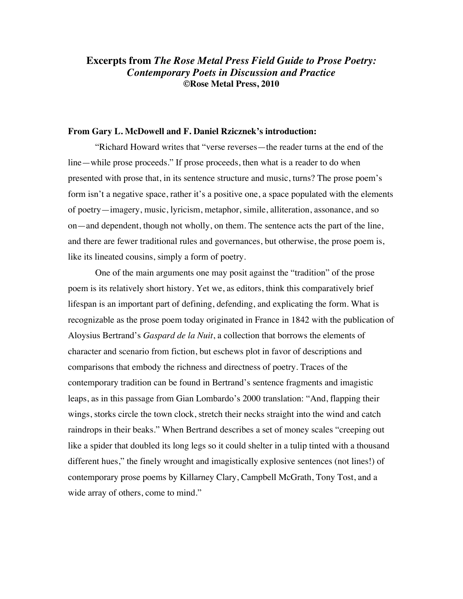# **Excerpts from** *The Rose Metal Press Field Guide to Prose Poetry: Contemporary Poets in Discussion and Practice* **©Rose Metal Press, 2010**

#### **From Gary L. McDowell and F. Daniel Rzicznek's introduction:**

"Richard Howard writes that "verse reverses—the reader turns at the end of the line—while prose proceeds." If prose proceeds, then what is a reader to do when presented with prose that, in its sentence structure and music, turns? The prose poem's form isn't a negative space, rather it's a positive one, a space populated with the elements of poetry—imagery, music, lyricism, metaphor, simile, alliteration, assonance, and so on—and dependent, though not wholly, on them. The sentence acts the part of the line, and there are fewer traditional rules and governances, but otherwise, the prose poem is, like its lineated cousins, simply a form of poetry.

One of the main arguments one may posit against the "tradition" of the prose poem is its relatively short history. Yet we, as editors, think this comparatively brief lifespan is an important part of defining, defending, and explicating the form. What is recognizable as the prose poem today originated in France in 1842 with the publication of Aloysius Bertrand's *Gaspard de la Nuit*, a collection that borrows the elements of character and scenario from fiction, but eschews plot in favor of descriptions and comparisons that embody the richness and directness of poetry. Traces of the contemporary tradition can be found in Bertrand's sentence fragments and imagistic leaps, as in this passage from Gian Lombardo's 2000 translation: "And, flapping their wings, storks circle the town clock, stretch their necks straight into the wind and catch raindrops in their beaks." When Bertrand describes a set of money scales "creeping out like a spider that doubled its long legs so it could shelter in a tulip tinted with a thousand different hues," the finely wrought and imagistically explosive sentences (not lines!) of contemporary prose poems by Killarney Clary, Campbell McGrath, Tony Tost, and a wide array of others, come to mind."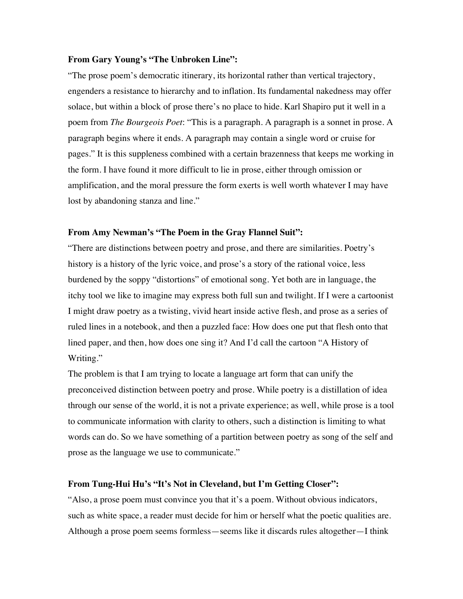## **From Gary Young's "The Unbroken Line":**

"The prose poem's democratic itinerary, its horizontal rather than vertical trajectory, engenders a resistance to hierarchy and to inflation. Its fundamental nakedness may offer solace, but within a block of prose there's no place to hide. Karl Shapiro put it well in a poem from *The Bourgeois Poet*: "This is a paragraph. A paragraph is a sonnet in prose. A paragraph begins where it ends. A paragraph may contain a single word or cruise for pages." It is this suppleness combined with a certain brazenness that keeps me working in the form. I have found it more difficult to lie in prose, either through omission or amplification, and the moral pressure the form exerts is well worth whatever I may have lost by abandoning stanza and line."

# **From Amy Newman's "The Poem in the Gray Flannel Suit":**

"There are distinctions between poetry and prose, and there are similarities. Poetry's history is a history of the lyric voice, and prose's a story of the rational voice, less burdened by the soppy "distortions" of emotional song. Yet both are in language, the itchy tool we like to imagine may express both full sun and twilight. If I were a cartoonist I might draw poetry as a twisting, vivid heart inside active flesh, and prose as a series of ruled lines in a notebook, and then a puzzled face: How does one put that flesh onto that lined paper, and then, how does one sing it? And I'd call the cartoon "A History of Writing."

The problem is that I am trying to locate a language art form that can unify the preconceived distinction between poetry and prose. While poetry is a distillation of idea through our sense of the world, it is not a private experience; as well, while prose is a tool to communicate information with clarity to others, such a distinction is limiting to what words can do. So we have something of a partition between poetry as song of the self and prose as the language we use to communicate."

# **From Tung-Hui Hu's "It's Not in Cleveland, but I'm Getting Closer":**

"Also, a prose poem must convince you that it's a poem. Without obvious indicators, such as white space, a reader must decide for him or herself what the poetic qualities are. Although a prose poem seems formless—seems like it discards rules altogether—I think